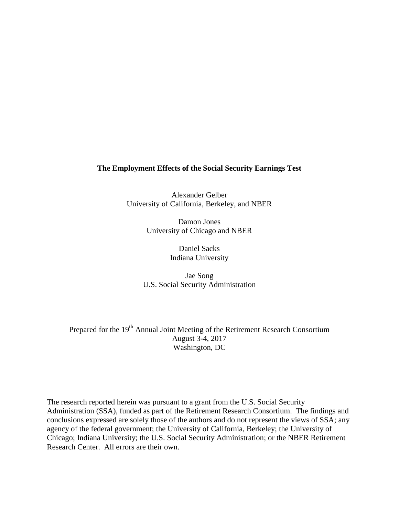## **The Employment Effects of the Social Security Earnings Test**

Alexander Gelber University of California, Berkeley, and NBER

> Damon Jones University of Chicago and NBER

> > Daniel Sacks Indiana University

Jae Song U.S. Social Security Administration

Prepared for the 19<sup>th</sup> Annual Joint Meeting of the Retirement Research Consortium August 3-4, 2017 Washington, DC

The research reported herein was pursuant to a grant from the U.S. Social Security Administration (SSA), funded as part of the Retirement Research Consortium. The findings and conclusions expressed are solely those of the authors and do not represent the views of SSA; any agency of the federal government; the University of California, Berkeley; the University of Chicago; Indiana University; the U.S. Social Security Administration; or the NBER Retirement Research Center. All errors are their own.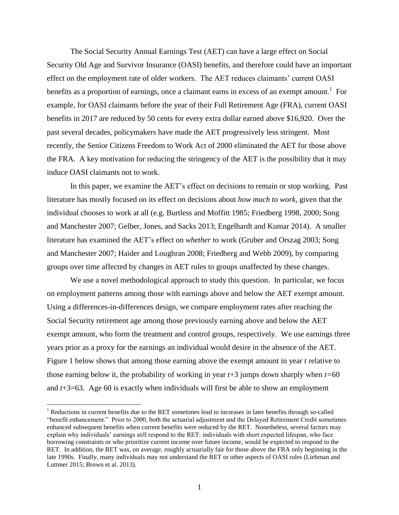The Social Security Annual Earnings Test (AET) can have a large effect on Social Security Old Age and Survivor Insurance (OASI) benefits, and therefore could have an important effect on the employment rate of older workers. The AET reduces claimants' current OASI benefits as a proportion of earnings, once a claimant earns in excess of an exempt amount.<sup>1</sup> For example, for OASI claimants before the year of their Full Retirement Age (FRA), current OASI benefits in 2017 are reduced by 50 cents for every extra dollar earned above \$16,920. Over the past several decades, policymakers have made the AET progressively less stringent. Most recently, the Senior Citizens Freedom to Work Act of 2000 eliminated the AET for those above the FRA. A key motivation for reducing the stringency of the AET is the possibility that it may induce OASI claimants not to work.

In this paper, we examine the AET's effect on decisions to remain or stop working. Past literature has mostly focused on its effect on decisions about *how much to work*, given that the individual chooses to work at all (e.g. Burtless and Moffitt 1985; Friedberg 1998, 2000; Song and Manchester 2007; Gelber, Jones, and Sacks 2013; Engelhardt and Kumar 2014). A smaller literature has examined the AET's effect on *whether* to work (Gruber and Orszag 2003; Song and Manchester 2007; Haider and Loughran 2008; Friedberg and Webb 2009), by comparing groups over time affected by changes in AET rules to groups unaffected by these changes.

We use a novel methodological approach to study this question. In particular, we focus on employment patterns among those with earnings above and below the AET exempt amount. Using a differences-in-differences design, we compare employment rates after reaching the Social Security retirement age among those previously earning above and below the AET exempt amount, who form the treatment and control groups, respectively. We use earnings three years prior as a proxy for the earnings an individual would desire in the absence of the AET. Figure 1 below shows that among those earning above the exempt amount in year *t* relative to those earning below it, the probability of working in year *t*+3 jumps down sharply when *t=*60 and *t*+3=63. Age 60 is exactly when individuals will first be able to show an employment

 $\overline{a}$ 

<sup>&</sup>lt;sup>1</sup> Reductions in current benefits due to the RET sometimes lead to increases in later benefits through so-called "benefit enhancement." Prior to 2000, both the actuarial adjustment and the Delayed Retirement Credit sometimes enhanced subsequent benefits when current benefits were reduced by the RET. Nonetheless, several factors may explain why individuals' earnings still respond to the RET: individuals with short expected lifespan, who face borrowing constraints or who prioritize current income over future income, would be expected to respond to the RET. In addition, the RET was, on average, roughly actuarially fair for those above the FRA only beginning in the late 1990s. Finally, many individuals may not understand the RET or other aspects of OASI rules (Liebman and Luttmer 2015; Brown et al. 2013).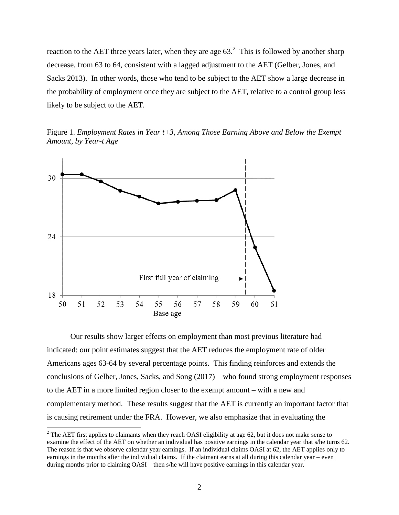reaction to the AET three years later, when they are age  $63<sup>2</sup>$ . This is followed by another sharp decrease, from 63 to 64, consistent with a lagged adjustment to the AET (Gelber, Jones, and Sacks 2013). In other words, those who tend to be subject to the AET show a large decrease in the probability of employment once they are subject to the AET, relative to a control group less likely to be subject to the AET.

Figure 1. *Employment Rates in Year t+3, Among Those Earning Above and Below the Exempt Amount, by Year-t Age*



 $\overline{a}$ 

Our results show larger effects on employment than most previous literature had indicated: our point estimates suggest that the AET reduces the employment rate of older Americans ages 63-64 by several percentage points. This finding reinforces and extends the conclusions of Gelber, Jones, Sacks, and Song (2017) – who found strong employment responses to the AET in a more limited region closer to the exempt amount – with a new and complementary method. These results suggest that the AET is currently an important factor that is causing retirement under the FRA. However, we also emphasize that in evaluating the

 $2^2$  The AET first applies to claimants when they reach OASI eligibility at age 62, but it does not make sense to examine the effect of the AET on whether an individual has positive earnings in the calendar year that s/he turns 62. The reason is that we observe calendar year earnings. If an individual claims OASI at 62, the AET applies only to earnings in the months after the individual claims. If the claimant earns at all during this calendar year – even during months prior to claiming OASI – then s/he will have positive earnings in this calendar year.